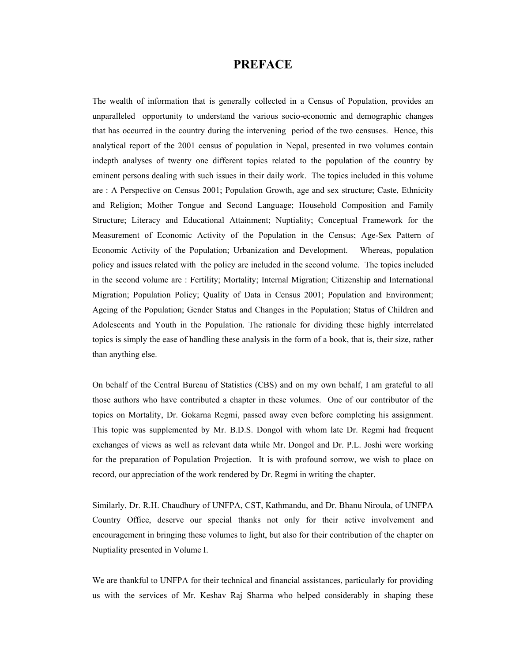## **PREFACE**

The wealth of information that is generally collected in a Census of Population, provides an unparalleled opportunity to understand the various socio-economic and demographic changes that has occurred in the country during the intervening period of the two censuses. Hence, this analytical report of the 2001 census of population in Nepal, presented in two volumes contain indepth analyses of twenty one different topics related to the population of the country by eminent persons dealing with such issues in their daily work. The topics included in this volume are : A Perspective on Census 2001; Population Growth, age and sex structure; Caste, Ethnicity and Religion; Mother Tongue and Second Language; Household Composition and Family Structure; Literacy and Educational Attainment; Nuptiality; Conceptual Framework for the Measurement of Economic Activity of the Population in the Census; Age-Sex Pattern of Economic Activity of the Population; Urbanization and Development. Whereas, population policy and issues related with the policy are included in the second volume. The topics included in the second volume are : Fertility; Mortality; Internal Migration; Citizenship and International Migration; Population Policy; Quality of Data in Census 2001; Population and Environment; Ageing of the Population; Gender Status and Changes in the Population; Status of Children and Adolescents and Youth in the Population. The rationale for dividing these highly interrelated topics is simply the ease of handling these analysis in the form of a book, that is, their size, rather than anything else.

On behalf of the Central Bureau of Statistics (CBS) and on my own behalf, I am grateful to all those authors who have contributed a chapter in these volumes. One of our contributor of the topics on Mortality, Dr. Gokarna Regmi, passed away even before completing his assignment. This topic was supplemented by Mr. B.D.S. Dongol with whom late Dr. Regmi had frequent exchanges of views as well as relevant data while Mr. Dongol and Dr. P.L. Joshi were working for the preparation of Population Projection. It is with profound sorrow, we wish to place on record, our appreciation of the work rendered by Dr. Regmi in writing the chapter.

Similarly, Dr. R.H. Chaudhury of UNFPA, CST, Kathmandu, and Dr. Bhanu Niroula, of UNFPA Country Office, deserve our special thanks not only for their active involvement and encouragement in bringing these volumes to light, but also for their contribution of the chapter on Nuptiality presented in Volume I.

We are thankful to UNFPA for their technical and financial assistances, particularly for providing us with the services of Mr. Keshav Raj Sharma who helped considerably in shaping these